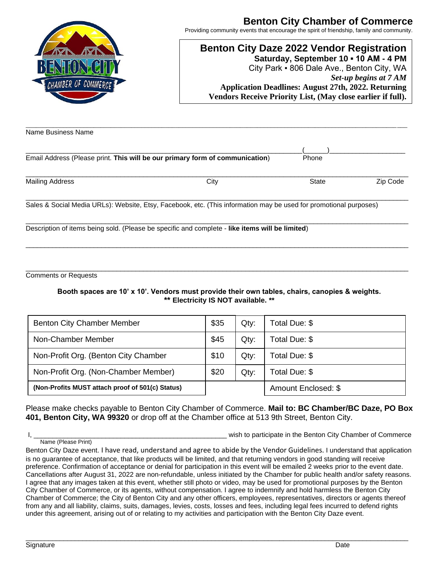

## **Benton City Chamber of Commerce**

Providing community events that encourage the spirit of friendship, family and community.

## **Benton City Daze 2022 Vendor Registration Saturday, September 10 ▪ 10 AM - 4 PM** City Park ▪ 806 Dale Ave., Benton City, WA *Set-up begins at 7 AM*

**Application Deadlines: August 27th, 2022. Returning Vendors Receive Priority List, (May close earlier if full).**

| Name Business Name     |                                                                                                                   |              |          |
|------------------------|-------------------------------------------------------------------------------------------------------------------|--------------|----------|
|                        |                                                                                                                   |              |          |
|                        | Email Address (Please print. This will be our primary form of communication)                                      | Phone        |          |
| <b>Mailing Address</b> | City                                                                                                              | <b>State</b> | Zip Code |
|                        | Sales & Social Media URLs): Website, Etsy, Facebook, etc. (This information may be used for promotional purposes) |              |          |
|                        | Description of items being sold. (Please be specific and complete - like items will be limited)                   |              |          |
|                        |                                                                                                                   |              |          |

Comments or Requests

Name (Please Print)

**Booth spaces are 10' x 10'. Vendors must provide their own tables, chairs, canopies & weights. \*\* Electricity IS NOT available. \*\***

\_\_\_\_\_\_\_\_\_\_\_\_\_\_\_\_\_\_\_\_\_\_\_\_\_\_\_\_\_\_\_\_\_\_\_\_\_\_\_\_\_\_\_\_\_\_\_\_\_\_\_\_\_\_\_\_\_\_\_\_\_\_\_\_\_\_\_\_\_\_\_\_\_\_\_\_\_\_\_\_\_\_\_\_\_\_\_\_\_\_\_\_\_\_\_\_\_\_\_\_\_

| <b>Benton City Chamber Member</b>                | \$35 | Qty:    | Total Due: \$       |
|--------------------------------------------------|------|---------|---------------------|
| Non-Chamber Member                               | \$45 | $Q$ ty: | Total Due: \$       |
| Non-Profit Org. (Benton City Chamber             | \$10 | Qty:    | Total Due: \$       |
| Non-Profit Org. (Non-Chamber Member)             | \$20 | Qty:    | Total Due: \$       |
| (Non-Profits MUST attach proof of 501(c) Status) |      |         | Amount Enclosed: \$ |

Please make checks payable to Benton City Chamber of Commerce. **Mail to: BC Chamber/BC Daze, PO Box 401, Benton City, WA 99320** or drop off at the Chamber office at 513 9th Street, Benton City.

I, the commerce of the state of the state of the Senator of Commerce in the Benton City Chamber of Commerce

| Benton City Daze event. I have read, understand and agree to abide by the Vendor Guidelines. I understand that application         |
|------------------------------------------------------------------------------------------------------------------------------------|
| is no guarantee of acceptance, that like products will be limited, and that returning vendors in good standing will receive        |
| preference. Confirmation of acceptance or denial for participation in this event will be emailed 2 weeks prior to the event date.  |
| Cancellations after August 31, 2022 are non-refundable, unless initiated by the Chamber for public health and/or safety reasons.   |
| I agree that any images taken at this event, whether still photo or video, may be used for promotional purposes by the Benton      |
| City Chamber of Commerce, or its agents, without compensation. I agree to indemnify and hold harmless the Benton City              |
| Chamber of Commerce; the City of Benton City and any other officers, employees, representatives, directors or agents thereof       |
| from any and all liability, claims, suits, damages, levies, costs, losses and fees, including legal fees incurred to defend rights |
| under this agreement, arising out of or relating to my activities and participation with the Benton City Daze event.               |
|                                                                                                                                    |

\_\_\_\_\_\_\_\_\_\_\_\_\_\_\_\_\_\_\_\_\_\_\_\_\_\_\_\_\_\_\_\_\_\_\_\_\_\_\_\_\_\_\_\_\_\_\_\_\_\_\_\_\_\_\_\_\_\_\_\_\_\_\_\_\_\_\_\_\_\_\_\_\_\_\_\_\_\_\_\_\_\_\_\_\_\_\_\_\_\_\_\_\_\_\_\_\_\_\_\_\_